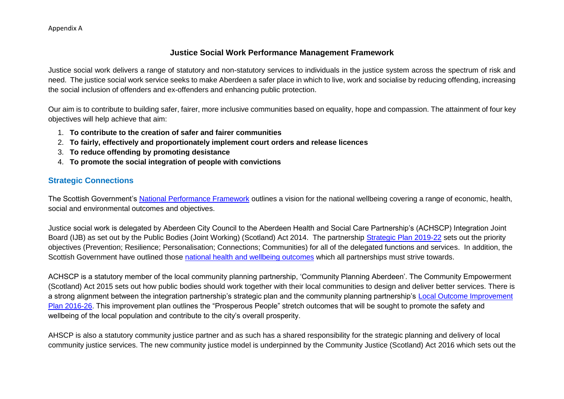## **Justice Social Work Performance Management Framework**

Justice social work delivers a range of statutory and non-statutory services to individuals in the justice system across the spectrum of risk and need. The justice social work service seeks to make Aberdeen a safer place in which to live, work and socialise by reducing offending, increasing the social inclusion of offenders and ex-offenders and enhancing public protection.

Our aim is to contribute to building safer, fairer, more inclusive communities based on equality, hope and compassion. The attainment of four key objectives will help achieve that aim:

- 1. **To contribute to the creation of safer and fairer communities**
- 2. **To fairly, effectively and proportionately implement court orders and release licences**
- 3. **To reduce offending by promoting desistance**
- 4. **To promote the social integration of people with convictions**

## **Strategic Connections**

The Scottish Government's [National Performance Framework](https://nationalperformance.gov.scot/) outlines a vision for the national wellbeing covering a range of economic, health, social and environmental outcomes and objectives.

Justice social work is delegated by Aberdeen City Council to the Aberdeen Health and Social Care Partnership's (ACHSCP) Integration Joint Board (IJB) as set out by the Public Bodies (Joint Working) (Scotland) Act 2014. The partnership [Strategic Plan 2019-22](https://www.aberdeencityhscp.scot/globalassets/achscp_strategic_plan_web_final.pdf) sets out the priority objectives (Prevention; Resilience; Personalisation; Connections; Communities) for all of the delegated functions and services. In addition, the Scottish Government have outlined those [national health and wellbeing outcomes](https://www2.gov.scot/Topics/Health/Policy/Health-Social-Care-Integration/National-Health-WellbeingOutcomes) which all partnerships must strive towards.

ACHSCP is a statutory member of the local community planning partnership, 'Community Planning Aberdeen'. The Community Empowerment (Scotland) Act 2015 sets out how public bodies should work together with their local communities to design and deliver better services. There is a strong alignment between the integration partnership's strategic plan and the community planning partnership's [Local Outcome Improvement](https://www.aberdeencity.gov.uk/sites/default/files/2019-04/Local%20Outcome%20Improvement%20Plan%202016-26.pdf)  [Plan 2016-26.](https://www.aberdeencity.gov.uk/sites/default/files/2019-04/Local%20Outcome%20Improvement%20Plan%202016-26.pdf) This improvement plan outlines the "Prosperous People" stretch outcomes that will be sought to promote the safety and wellbeing of the local population and contribute to the city's overall prosperity.

AHSCP is also a statutory community justice partner and as such has a shared responsibility for the strategic planning and delivery of local community justice services. The new community justice model is underpinned by the Community Justice (Scotland) Act 2016 which sets out the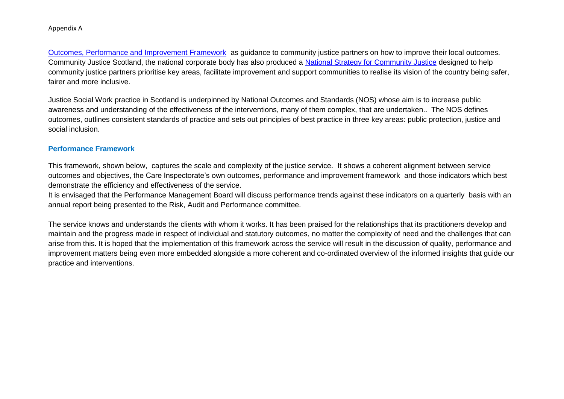Appendix A

[Outcomes, Performance and Improvement Framework](https://www.gov.scot/publications/community-justice-outcomes-performance-improvement-framework/) as guidance to community justice partners on how to improve their local outcomes. Community Justice Scotland, the national corporate body has also produced a [National Strategy for Community Justice](https://www.gov.scot/publications/national-strategy-community-justice/) designed to help community justice partners prioritise key areas, facilitate improvement and support communities to realise its vision of the country being safer, fairer and more inclusive.

Justice Social Work practice in Scotland is underpinned by National Outcomes and Standards (NOS) whose aim is to increase public awareness and understanding of the effectiveness of the interventions, many of them complex, that are undertaken.. The NOS defines outcomes, outlines consistent standards of practice and sets out principles of best practice in three key areas: public protection, justice and social inclusion.

## **Performance Framework**

This framework, shown below, captures the scale and complexity of the justice service. It shows a coherent alignment between service outcomes and objectives, the Care Inspectorate's own outcomes, performance and improvement framework and those indicators which best demonstrate the efficiency and effectiveness of the service.

It is envisaged that the Performance Management Board will discuss performance trends against these indicators on a quarterly basis with an annual report being presented to the Risk, Audit and Performance committee.

The service knows and understands the clients with whom it works. It has been praised for the relationships that its practitioners develop and maintain and the progress made in respect of individual and statutory outcomes, no matter the complexity of need and the challenges that can arise from this. It is hoped that the implementation of this framework across the service will result in the discussion of quality, performance and improvement matters being even more embedded alongside a more coherent and co-ordinated overview of the informed insights that guide our practice and interventions.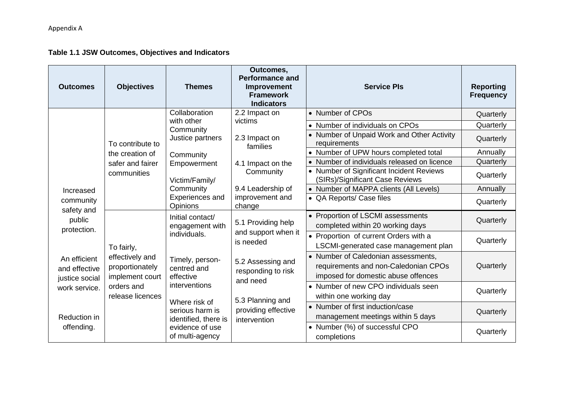## **Table 1.1 JSW Outcomes, Objectives and Indicators**

| <b>Outcomes</b>                                                                                                                                   | <b>Objectives</b>                                                                                     | <b>Themes</b>                                                                                                                                                                   | Outcomes,<br><b>Performance and</b><br><b>Improvement</b><br><b>Framework</b><br><b>Indicators</b>                                                                       | <b>Service PIs</b>                                                                                                 | <b>Reporting</b><br><b>Frequency</b> |
|---------------------------------------------------------------------------------------------------------------------------------------------------|-------------------------------------------------------------------------------------------------------|---------------------------------------------------------------------------------------------------------------------------------------------------------------------------------|--------------------------------------------------------------------------------------------------------------------------------------------------------------------------|--------------------------------------------------------------------------------------------------------------------|--------------------------------------|
|                                                                                                                                                   | To contribute to<br>the creation of<br>safer and fairer<br>communities                                | Collaboration<br>with other<br>Community<br>Justice partners                                                                                                                    | 2.2 Impact on<br>victims<br>2.3 Impact on<br>families<br>4.1 Impact on the<br>Community<br>9.4 Leadership of<br>improvement and<br>change                                | • Number of CPOs                                                                                                   | Quarterly                            |
|                                                                                                                                                   |                                                                                                       |                                                                                                                                                                                 |                                                                                                                                                                          | • Number of individuals on CPOs                                                                                    | Quarterly                            |
|                                                                                                                                                   |                                                                                                       |                                                                                                                                                                                 |                                                                                                                                                                          | • Number of Unpaid Work and Other Activity<br>requirements                                                         | Quarterly                            |
|                                                                                                                                                   |                                                                                                       | Community<br>Empowerment<br>Victim/Family/<br>Community<br>Experiences and<br>Opinions                                                                                          |                                                                                                                                                                          | • Number of UPW hours completed total                                                                              | Annually                             |
|                                                                                                                                                   |                                                                                                       |                                                                                                                                                                                 |                                                                                                                                                                          | Number of individuals released on licence                                                                          | Quarterly                            |
| Increased<br>community<br>safety and<br>public<br>protection.<br>An efficient<br>and effective<br>justice social<br>work service.<br>Reduction in |                                                                                                       |                                                                                                                                                                                 |                                                                                                                                                                          | • Number of Significant Incident Reviews<br>(SIRs)/Significant Case Reviews                                        | Quarterly                            |
|                                                                                                                                                   |                                                                                                       |                                                                                                                                                                                 |                                                                                                                                                                          | • Number of MAPPA clients (All Levels)                                                                             | Annually                             |
|                                                                                                                                                   |                                                                                                       |                                                                                                                                                                                 |                                                                                                                                                                          | • QA Reports/ Case files                                                                                           | Quarterly                            |
|                                                                                                                                                   | To fairly,<br>effectively and<br>proportionately<br>implement court<br>orders and<br>release licences | Initial contact/<br>engagement with<br>individuals.<br>Timely, person-<br>centred and<br>effective<br>interventions<br>Where risk of<br>serious harm is<br>identified, there is | 5.1 Providing help<br>and support when it<br>is needed<br>5.2 Assessing and<br>responding to risk<br>and need<br>5.3 Planning and<br>providing effective<br>intervention | • Proportion of LSCMI assessments<br>completed within 20 working days                                              | Quarterly                            |
|                                                                                                                                                   |                                                                                                       |                                                                                                                                                                                 |                                                                                                                                                                          | • Proportion of current Orders with a<br>LSCMI-generated case management plan                                      | Quarterly                            |
|                                                                                                                                                   |                                                                                                       |                                                                                                                                                                                 |                                                                                                                                                                          | • Number of Caledonian assessments,<br>requirements and non-Caledonian CPOs<br>imposed for domestic abuse offences | Quarterly                            |
|                                                                                                                                                   |                                                                                                       |                                                                                                                                                                                 |                                                                                                                                                                          | • Number of new CPO individuals seen<br>within one working day                                                     | Quarterly                            |
|                                                                                                                                                   |                                                                                                       |                                                                                                                                                                                 |                                                                                                                                                                          | • Number of first induction/case<br>management meetings within 5 days                                              | Quarterly                            |
| offending.                                                                                                                                        |                                                                                                       | evidence of use<br>of multi-agency                                                                                                                                              |                                                                                                                                                                          | • Number (%) of successful CPO<br>completions                                                                      | Quarterly                            |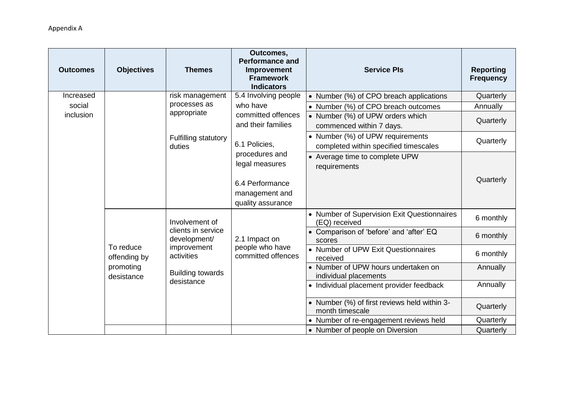| <b>Outcomes</b>     | <b>Objectives</b>                                    | <b>Themes</b>                                                                                                              | Outcomes,<br><b>Performance and</b><br>Improvement<br><b>Framework</b><br><b>Indicators</b> | <b>Service PIs</b>                                                        | <b>Reporting</b><br><b>Frequency</b> |
|---------------------|------------------------------------------------------|----------------------------------------------------------------------------------------------------------------------------|---------------------------------------------------------------------------------------------|---------------------------------------------------------------------------|--------------------------------------|
| Increased           |                                                      | risk management                                                                                                            | 5.4 Involving people                                                                        | • Number (%) of CPO breach applications                                   | Quarterly                            |
| social<br>inclusion |                                                      | processes as                                                                                                               | who have<br>committed offences<br>and their families                                        | • Number (%) of CPO breach outcomes                                       | Annually                             |
|                     |                                                      | appropriate                                                                                                                |                                                                                             | • Number (%) of UPW orders which<br>commenced within 7 days.              | Quarterly                            |
|                     |                                                      | <b>Fulfilling statutory</b><br>duties                                                                                      | 6.1 Policies,<br>procedures and<br>legal measures                                           | • Number (%) of UPW requirements<br>completed within specified timescales | Quarterly                            |
|                     |                                                      |                                                                                                                            |                                                                                             | • Average time to complete UPW<br>requirements                            |                                      |
|                     |                                                      |                                                                                                                            | 6.4 Performance<br>management and<br>quality assurance                                      |                                                                           | Quarterly                            |
|                     | To reduce<br>offending by<br>promoting<br>desistance | Involvement of<br>clients in service<br>development/<br>improvement<br>activities<br><b>Building towards</b><br>desistance | 2.1 Impact on<br>people who have<br>committed offences                                      | • Number of Supervision Exit Questionnaires<br>(EQ) received              | 6 monthly                            |
|                     |                                                      |                                                                                                                            |                                                                                             | • Comparison of 'before' and 'after' EQ<br>scores                         | 6 monthly                            |
|                     |                                                      |                                                                                                                            |                                                                                             | • Number of UPW Exit Questionnaires<br>received                           | 6 monthly                            |
|                     |                                                      |                                                                                                                            |                                                                                             | • Number of UPW hours undertaken on<br>individual placements              | Annually                             |
|                     |                                                      |                                                                                                                            |                                                                                             | • Individual placement provider feedback                                  | Annually                             |
|                     |                                                      |                                                                                                                            |                                                                                             | • Number (%) of first reviews held within 3-<br>month timescale           | Quarterly                            |
|                     |                                                      |                                                                                                                            |                                                                                             | • Number of re-engagement reviews held                                    | Quarterly                            |
|                     |                                                      |                                                                                                                            |                                                                                             | • Number of people on Diversion                                           | Quarterly                            |